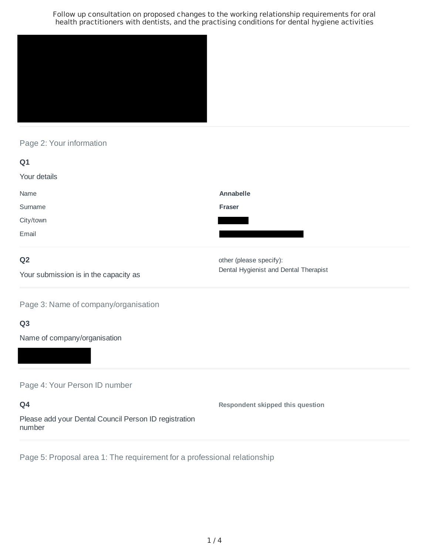

## Page 2: Your information

| Q1            |                                                                                                                                     |
|---------------|-------------------------------------------------------------------------------------------------------------------------------------|
| Your details  |                                                                                                                                     |
| Name          | Annabelle                                                                                                                           |
| Surname       | Fraser                                                                                                                              |
| City/town     |                                                                                                                                     |
| Email         |                                                                                                                                     |
| $\sim$ $\sim$ | $\mathbf{r}$ and $\mathbf{r}$ and $\mathbf{r}$ and $\mathbf{r}$ and $\mathbf{r}$ and $\mathbf{r}$ and $\mathbf{r}$ and $\mathbf{r}$ |

## **Q2**

Your submission is in the capacity as

Dental Hygienist and Dental Therapist other (please specify):

Page 3: Name of company/organisation

# **Q3**

Name of company/organisation

Page 4: Your Person ID number

**Q4** Please add your Dental Council Person ID registration number **Respondent skipped this question**

Page 5: Proposal area 1: The requirement for a professional relationship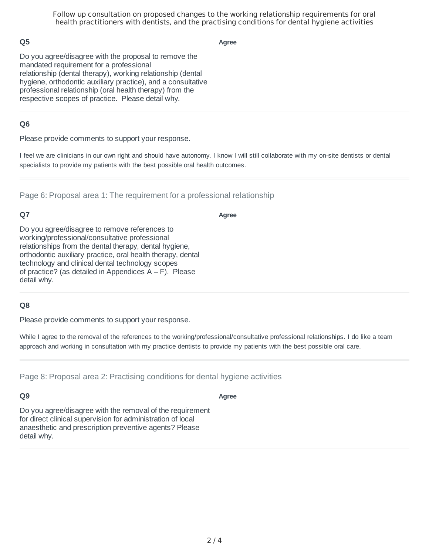### **Q5**

**Agree**

Do you agree/disagree with the proposal to remove the mandated requirement for a professional relationship (dental therapy), working relationship (dental hygiene, orthodontic auxiliary practice), and a consultative professional relationship (oral health therapy) from the respective scopes of practice. Please detail why.

### **Q6**

Please provide comments to support your response.

I feel we are clinicians in our own right and should have autonomy. I know I will still collaborate with my on-site dentists or dental specialists to provide my patients with the best possible oral health outcomes.

Page 6: Proposal area 1: The requirement for a professional relationship

## **Q7**

**Agree**

Do you agree/disagree to remove references to working/professional/consultative professional relationships from the dental therapy, dental hygiene, orthodontic auxiliary practice, oral health therapy, dental technology and clinical dental technology scopes of practice? (as detailed in Appendices  $A - F$ ). Please detail why.

#### **Q8**

Please provide comments to support your response.

While I agree to the removal of the references to the working/professional/consultative professional relationships. I do like a team approach and working in consultation with my practice dentists to provide my patients with the best possible oral care.

Page 8: Proposal area 2: Practising conditions for dental hygiene activities

#### **Q9**

**Agree**

Do you agree/disagree with the removal of the requirement for direct clinical supervision for administration of local anaesthetic and prescription preventive agents? Please detail why.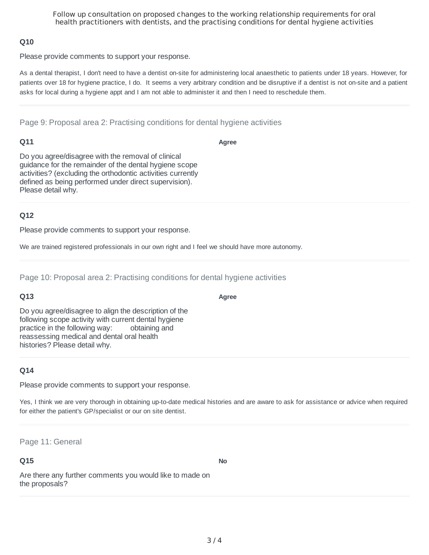#### **Q10**

Please provide comments to support your response.

As a dental therapist, I don't need to have a dentist on-site for administering local anaesthetic to patients under 18 years. However, for patients over 18 for hygiene practice, I do. It seems a very arbitrary condition and be disruptive if a dentist is not on-site and a patient asks for local during a hygiene appt and I am not able to administer it and then I need to reschedule them.

Page 9: Proposal area 2: Practising conditions for dental hygiene activities

### **Q11**

**Agree**

Do you agree/disagree with the removal of clinical guidance for the remainder of the dental hygiene scope activities? (excluding the orthodontic activities currently defined as being performed under direct supervision). Please detail why.

## **Q12**

Please provide comments to support your response.

We are trained registered professionals in our own right and I feel we should have more autonomy.

Page 10: Proposal area 2: Practising conditions for dental hygiene activities

## **Q13**

Do you agree/disagree to align the description of the following scope activity with current dental hygiene practice in the following way: obtaining and reassessing medical and dental oral health histories? Please detail why.

## **Q14**

Please provide comments to support your response.

Yes, I think we are very thorough in obtaining up-to-date medical histories and are aware to ask for assistance or advice when required for either the patient's GP/specialist or our on site dentist.

Page 11: General

## **Q15**

**No**

Are there any further comments you would like to made on the proposals?

#### **Agree**